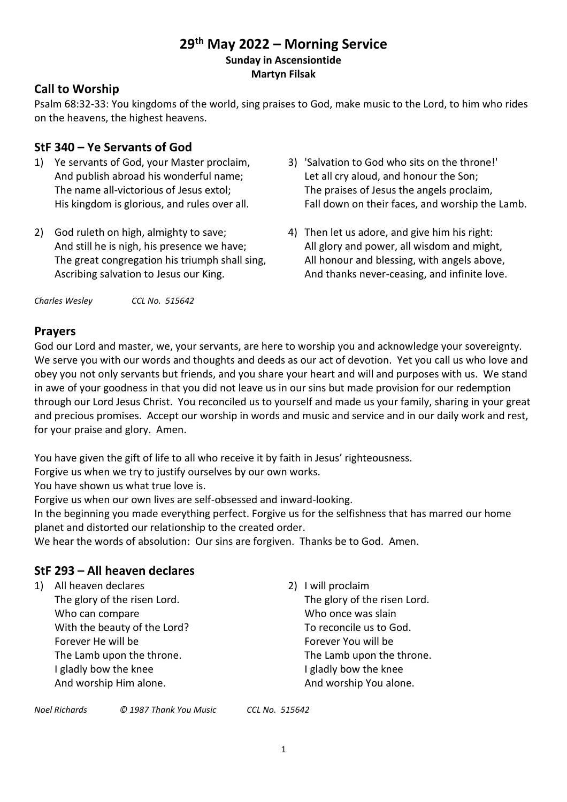## **29 th May 2022 – Morning Service Sunday in Ascensiontide Martyn Filsak**

## **Call to Worship**

Psalm 68:32-33: You kingdoms of the world, sing praises to God, make music to the Lord, to him who rides on the heavens, the highest heavens.

## **StF 340 – Ye Servants of God**

- 1) Ye servants of God, your Master proclaim, And publish abroad his wonderful name; The name all-victorious of Jesus extol; His kingdom is glorious, and rules over all.
- 2) God ruleth on high, almighty to save; And still he is nigh, his presence we have; The great congregation his triumph shall sing, Ascribing salvation to Jesus our King.

*Charles Wesley CCL No. 515642*

- 3) 'Salvation to God who sits on the throne!' Let all cry aloud, and honour the Son; The praises of Jesus the angels proclaim, Fall down on their faces, and worship the Lamb.
- 4) Then let us adore, and give him his right: All glory and power, all wisdom and might, All honour and blessing, with angels above, And thanks never-ceasing, and infinite love.

## **Prayers**

God our Lord and master, we, your servants, are here to worship you and acknowledge your sovereignty. We serve you with our words and thoughts and deeds as our act of devotion. Yet you call us who love and obey you not only servants but friends, and you share your heart and will and purposes with us. We stand in awe of your goodness in that you did not leave us in our sins but made provision for our redemption through our Lord Jesus Christ. You reconciled us to yourself and made us your family, sharing in your great and precious promises. Accept our worship in words and music and service and in our daily work and rest, for your praise and glory. Amen.

You have given the gift of life to all who receive it by faith in Jesus' righteousness.

Forgive us when we try to justify ourselves by our own works.

You have shown us what true love is.

Forgive us when our own lives are self-obsessed and inward-looking.

In the beginning you made everything perfect. Forgive us for the selfishness that has marred our home planet and distorted our relationship to the created order.

We hear the words of absolution: Our sins are forgiven. Thanks be to God. Amen.

## **StF 293 – All heaven declares**

- 1) All heaven declares
	- The glory of the risen Lord. Who can compare With the beauty of the Lord? Forever He will be The Lamb upon the throne. I gladly bow the knee And worship Him alone.

2) I will proclaim The glory of the risen Lord. Who once was slain To reconcile us to God. Forever You will be The Lamb upon the throne. I gladly bow the knee And worship You alone.

| Noel Richards | © 1987 Thank You Music | CCL No. 515642 |
|---------------|------------------------|----------------|
|               |                        |                |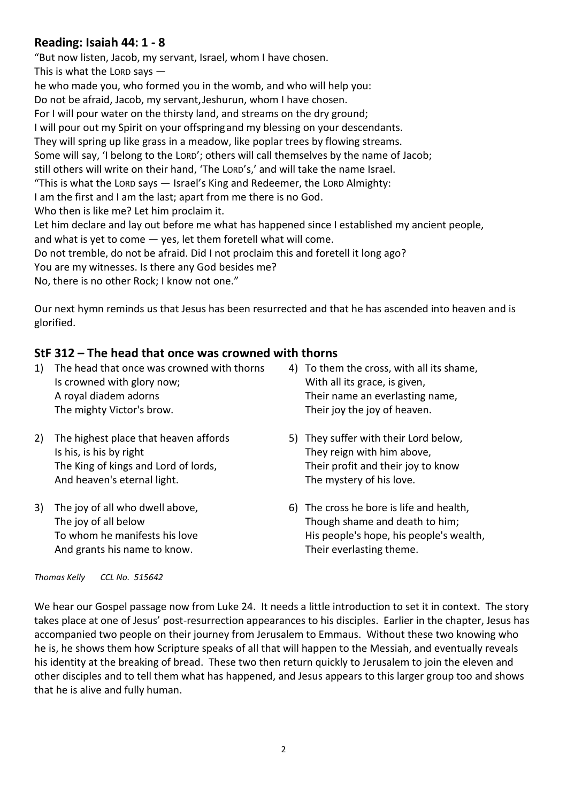## **Reading: Isaiah 44: 1 - 8**

"But now listen, Jacob, my servant, Israel, whom I have chosen. This is what the LORD says he who made you, who formed you in the womb, and who will help you: Do not be afraid, Jacob, my servant,Jeshurun, whom I have chosen. For I will pour water on the thirsty land, and streams on the dry ground; I will pour out my Spirit on your offspringand my blessing on your descendants. They will spring up like grass in a meadow, like poplar trees by flowing streams. Some will say, 'I belong to the LORD'; others will call themselves by the name of Jacob; still others will write on their hand, 'The LORD's,' and will take the name Israel. "This is what the LORD says — Israel's King and Redeemer, the LORD Almighty: I am the first and I am the last; apart from me there is no God. Who then is like me? Let him proclaim it. Let him declare and lay out before me what has happened since I established my ancient people, and what is yet to come  $-$  yes, let them foretell what will come. Do not tremble, do not be afraid. Did I not proclaim this and foretell it long ago? You are my witnesses. Is there any God besides me? No, there is no other Rock; I know not one."

Our next hymn reminds us that Jesus has been resurrected and that he has ascended into heaven and is glorified.

## **StF 312 – The head that once was crowned with thorns**

- 1) The head that once was crowned with thorns Is crowned with glory now; A royal diadem adorns The mighty Victor's brow.
- 2) The highest place that heaven affords Is his, is his by right The King of kings and Lord of lords, And heaven's eternal light.
- 3) The joy of all who dwell above, The joy of all below To whom he manifests his love And grants his name to know.
- 4) To them the cross, with all its shame, With all its grace, is given, Their name an everlasting name, Their joy the joy of heaven.
- 5) They suffer with their Lord below, They reign with him above, Their profit and their joy to know The mystery of his love.
- 6) The cross he bore is life and health, Though shame and death to him; His people's hope, his people's wealth, Their everlasting theme.

*Thomas Kelly CCL No. 515642*

We hear our Gospel passage now from Luke 24. It needs a little introduction to set it in context. The story takes place at one of Jesus' post-resurrection appearances to his disciples. Earlier in the chapter, Jesus has accompanied two people on their journey from Jerusalem to Emmaus. Without these two knowing who he is, he shows them how Scripture speaks of all that will happen to the Messiah, and eventually reveals his identity at the breaking of bread. These two then return quickly to Jerusalem to join the eleven and other disciples and to tell them what has happened, and Jesus appears to this larger group too and shows that he is alive and fully human.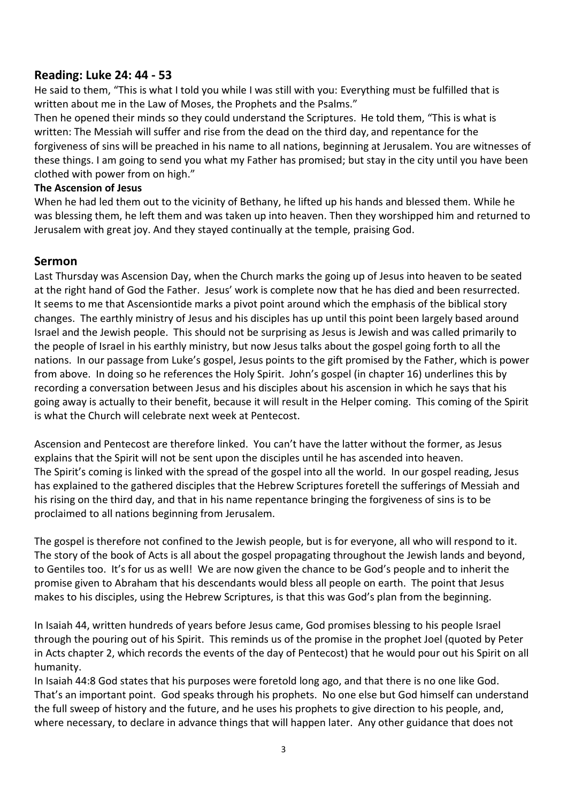## **Reading: Luke 24: 44 - 53**

He said to them, "This is what I told you while I was still with you: Everything must be fulfilled that is written about me in the Law of Moses, the Prophets and the Psalms."

Then he opened their minds so they could understand the Scriptures. He told them, "This is what is written: The Messiah will suffer and rise from the dead on the third day, and repentance for the forgiveness of sins will be preached in his name to all nations, beginning at Jerusalem. You are witnesses of these things. I am going to send you what my Father has promised; but stay in the city until you have been clothed with power from on high."

#### **The Ascension of Jesus**

When he had led them out to the vicinity of Bethany, he lifted up his hands and blessed them. While he was blessing them, he left them and was taken up into heaven. Then they worshipped him and returned to Jerusalem with great joy. And they stayed continually at the temple, praising God.

## **Sermon**

Last Thursday was Ascension Day, when the Church marks the going up of Jesus into heaven to be seated at the right hand of God the Father. Jesus' work is complete now that he has died and been resurrected. It seems to me that Ascensiontide marks a pivot point around which the emphasis of the biblical story changes. The earthly ministry of Jesus and his disciples has up until this point been largely based around Israel and the Jewish people. This should not be surprising as Jesus is Jewish and was called primarily to the people of Israel in his earthly ministry, but now Jesus talks about the gospel going forth to all the nations. In our passage from Luke's gospel, Jesus points to the gift promised by the Father, which is power from above. In doing so he references the Holy Spirit. John's gospel (in chapter 16) underlines this by recording a conversation between Jesus and his disciples about his ascension in which he says that his going away is actually to their benefit, because it will result in the Helper coming. This coming of the Spirit is what the Church will celebrate next week at Pentecost.

Ascension and Pentecost are therefore linked. You can't have the latter without the former, as Jesus explains that the Spirit will not be sent upon the disciples until he has ascended into heaven. The Spirit's coming is linked with the spread of the gospel into all the world. In our gospel reading, Jesus has explained to the gathered disciples that the Hebrew Scriptures foretell the sufferings of Messiah and his rising on the third day, and that in his name repentance bringing the forgiveness of sins is to be proclaimed to all nations beginning from Jerusalem.

The gospel is therefore not confined to the Jewish people, but is for everyone, all who will respond to it. The story of the book of Acts is all about the gospel propagating throughout the Jewish lands and beyond, to Gentiles too. It's for us as well! We are now given the chance to be God's people and to inherit the promise given to Abraham that his descendants would bless all people on earth. The point that Jesus makes to his disciples, using the Hebrew Scriptures, is that this was God's plan from the beginning.

In Isaiah 44, written hundreds of years before Jesus came, God promises blessing to his people Israel through the pouring out of his Spirit. This reminds us of the promise in the prophet Joel (quoted by Peter in Acts chapter 2, which records the events of the day of Pentecost) that he would pour out his Spirit on all humanity.

In Isaiah 44:8 God states that his purposes were foretold long ago, and that there is no one like God. That's an important point. God speaks through his prophets. No one else but God himself can understand the full sweep of history and the future, and he uses his prophets to give direction to his people, and, where necessary, to declare in advance things that will happen later. Any other guidance that does not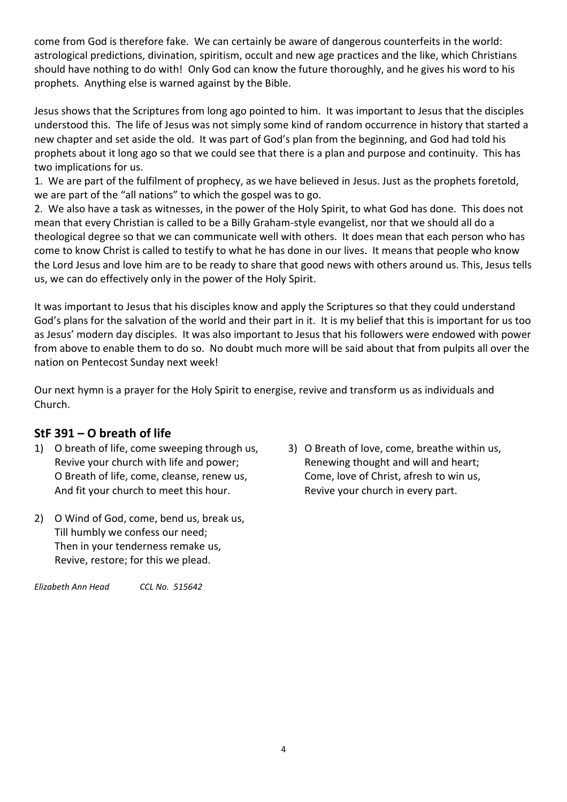come from God is therefore fake. We can certainly be aware of dangerous counterfeits in the world: astrological predictions, divination, spiritism, occult and new age practices and the like, which Christians should have nothing to do with! Only God can know the future thoroughly, and he gives his word to his prophets. Anything else is warned against by the Bible.

Jesus shows that the Scriptures from long ago pointed to him. It was important to Jesus that the disciples understood this. The life of Jesus was not simply some kind of random occurrence in history that started a new chapter and set aside the old. It was part of God's plan from the beginning, and God had told his prophets about it long ago so that we could see that there is a plan and purpose and continuity. This has two implications for us.

1. We are part of the fulfilment of prophecy, as we have believed in Jesus. Just as the prophets foretold, we are part of the "all nations" to which the gospel was to go.

2. We also have a task as witnesses, in the power of the Holy Spirit, to what God has done. This does not mean that every Christian is called to be a Billy Graham-style evangelist, nor that we should all do a theological degree so that we can communicate well with others. It does mean that each person who has come to know Christ is called to testify to what he has done in our lives. It means that people who know the Lord Jesus and love him are to be ready to share that good news with others around us. This, Jesus tells us, we can do effectively only in the power of the Holy Spirit.

It was important to Jesus that his disciples know and apply the Scriptures so that they could understand God's plans for the salvation of the world and their part in it. It is my belief that this is important for us too as Jesus' modern day disciples. It was also important to Jesus that his followers were endowed with power from above to enable them to do so. No doubt much more will be said about that from pulpits all over the nation on Pentecost Sunday next week!

Our next hymn is a prayer for the Holy Spirit to energise, revive and transform us as individuals and Church.

# **StF 391 – O breath of life**

- 1) O breath of life, come sweeping through us, Revive your church with life and power; O Breath of life, come, cleanse, renew us, And fit your church to meet this hour.
- 2) O Wind of God, come, bend us, break us, Till humbly we confess our need; Then in your tenderness remake us, Revive, restore; for this we plead.

*Elizabeth Ann Head CCL No. 515642*

3) O Breath of love, come, breathe within us, Renewing thought and will and heart; Come, love of Christ, afresh to win us, Revive your church in every part.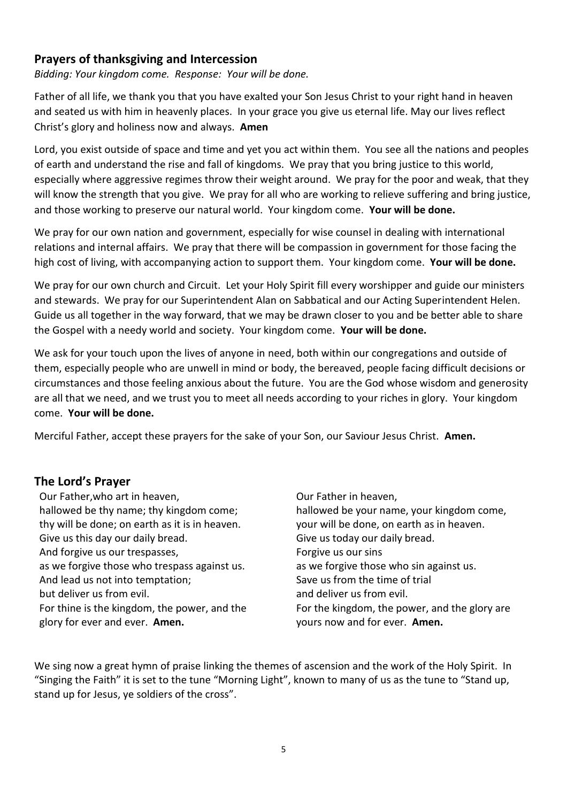## **Prayers of thanksgiving and Intercession**

*Bidding: Your kingdom come. Response: Your will be done.*

Father of all life, we thank you that you have exalted your Son Jesus Christ to your right hand in heaven and seated us with him in heavenly places. In your grace you give us eternal life. May our lives reflect Christ's glory and holiness now and always. **Amen**

Lord, you exist outside of space and time and yet you act within them. You see all the nations and peoples of earth and understand the rise and fall of kingdoms. We pray that you bring justice to this world, especially where aggressive regimes throw their weight around. We pray for the poor and weak, that they will know the strength that you give. We pray for all who are working to relieve suffering and bring justice, and those working to preserve our natural world. Your kingdom come. **Your will be done.**

We pray for our own nation and government, especially for wise counsel in dealing with international relations and internal affairs. We pray that there will be compassion in government for those facing the high cost of living, with accompanying action to support them.Your kingdom come. **Your will be done.**

We pray for our own church and Circuit. Let your Holy Spirit fill every worshipper and guide our ministers and stewards. We pray for our Superintendent Alan on Sabbatical and our Acting Superintendent Helen. Guide us all together in the way forward, that we may be drawn closer to you and be better able to share the Gospel with a needy world and society. Your kingdom come. **Your will be done.**

We ask for your touch upon the lives of anyone in need, both within our congregations and outside of them, especially people who are unwell in mind or body, the bereaved, people facing difficult decisions or circumstances and those feeling anxious about the future. You are the God whose wisdom and generosity are all that we need, and we trust you to meet all needs according to your riches in glory. Your kingdom come. **Your will be done.**

Merciful Father, accept these prayers for the sake of your Son, our Saviour Jesus Christ. **Amen.**

## **The Lord's Prayer**

Our Father,who art in heaven, hallowed be thy name; thy kingdom come; thy will be done; on earth as it is in heaven. Give us this day our daily bread. And forgive us our trespasses, as we forgive those who trespass against us. And lead us not into temptation; but deliver us from evil. For thine is the kingdom, the power, and the glory for ever and ever. **Amen.**

Our Father in heaven, hallowed be your name, your kingdom come, your will be done, on earth as in heaven. Give us today our daily bread. Forgive us our sins as we forgive those who sin against us. Save us from the time of trial and deliver us from evil. For the kingdom, the power, and the glory are yours now and for ever. **Amen.**

We sing now a great hymn of praise linking the themes of ascension and the work of the Holy Spirit. In "Singing the Faith" it is set to the tune "Morning Light", known to many of us as the tune to "Stand up, stand up for Jesus, ye soldiers of the cross".